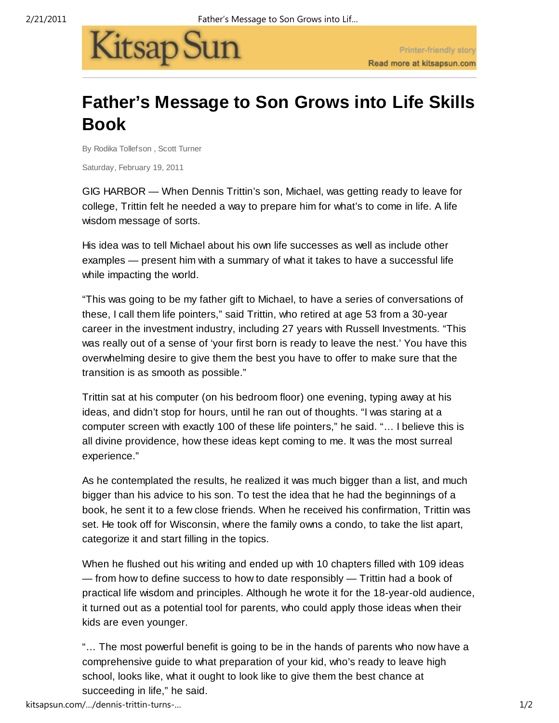

## **Father's Message to Son Grows into Life Skills Book**

By Rodika Tollefson , Scott Turner

Saturday, February 19, 2011

GIG HARBOR — When Dennis Trittin's son, Michael, was getting ready to leave for college, Trittin felt he needed a way to prepare him for what's to come in life. A life wisdom message of sorts.

His idea was to tell Michael about his own life successes as well as include other examples — present him with a summary of what it takes to have a successful life while impacting the world.

"This was going to be my father gift to Michael, to have a series of conversations of these, I call them life pointers," said Trittin, who retired at age 53 from a 30-year career in the investment industry, including 27 years with Russell Investments. "This was really out of a sense of 'your first born is ready to leave the nest.' You have this overwhelming desire to give them the best you have to offer to make sure that the transition is as smooth as possible."

Trittin sat at his computer (on his bedroom floor) one evening, typing away at his ideas, and didn't stop for hours, until he ran out of thoughts. "I was staring at a computer screen with exactly 100 of these life pointers," he said. "… I believe this is all divine providence, how these ideas kept coming to me. It was the most surreal experience."

As he contemplated the results, he realized it was much bigger than a list, and much bigger than his advice to his son. To test the idea that he had the beginnings of a book, he sent it to a few close friends. When he received his confirmation, Trittin was set. He took off for Wisconsin, where the family owns a condo, to take the list apart, categorize it and start filling in the topics.

When he flushed out his writing and ended up with 10 chapters filled with 109 ideas — from how to define success to how to date responsibly — Trittin had a book of practical life wisdom and principles. Although he wrote it for the 18-year-old audience, it turned out as a potential tool for parents, who could apply those ideas when their kids are even younger.

"… The most powerful benefit is going to be in the hands of parents who now have a comprehensive guide to what preparation of your kid, who's ready to leave high school, looks like, what it ought to look like to give them the best chance at succeeding in life," he said.